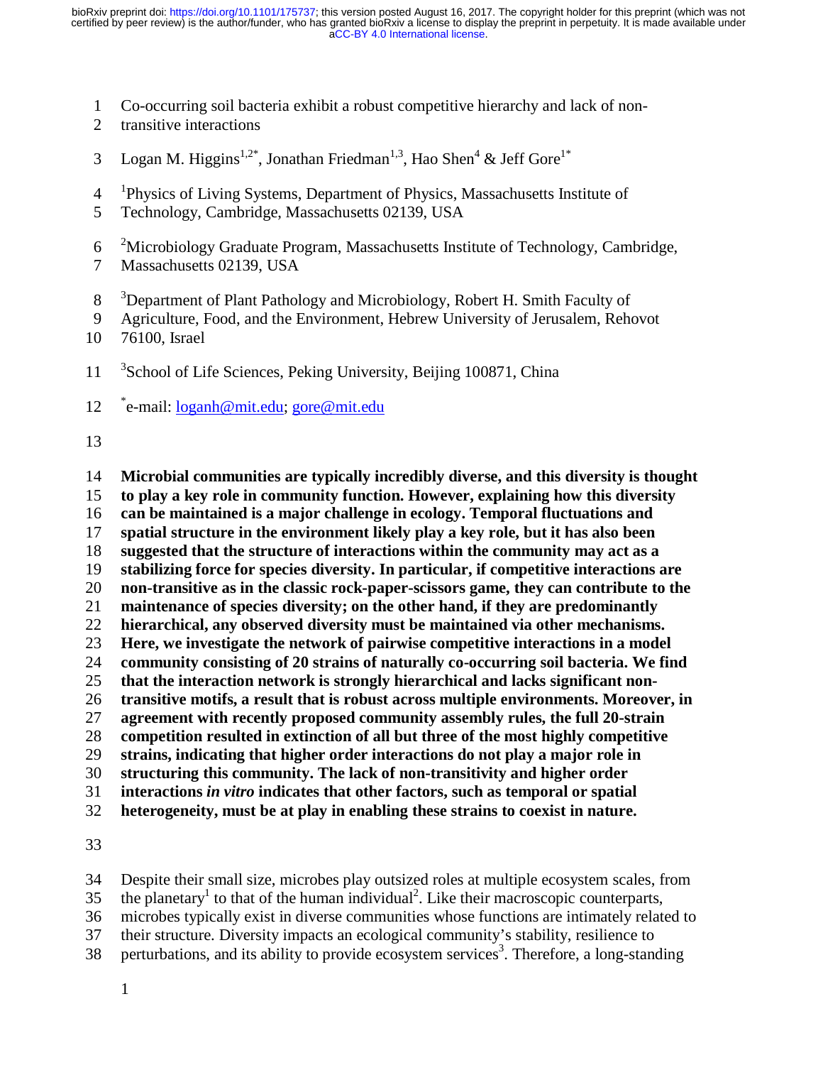- 1 Co-occurring soil bacteria exhibit a robust competitive hierarchy and lack of non-
- 2 transitive interactions
- 3 Logan M. Higgins<sup>1,2\*</sup>, Jonathan Friedman<sup>1,3</sup>, Hao Shen<sup>4</sup> & Jeff Gore<sup>1\*</sup>
- <sup>1</sup> Physics of Living Systems, Department of Physics, Massachusetts Institute of
- 5 Technology, Cambridge, Massachusetts 02139, USA
- <sup>2</sup> 6 Microbiology Graduate Program, Massachusetts Institute of Technology, Cambridge,
- 7 Massachusetts 02139, USA
- <sup>3</sup> Department of Plant Pathology and Microbiology, Robert H. Smith Faculty of
- 9 Agriculture, Food, and the Environment, Hebrew University of Jerusalem, Rehovot
- 10 76100, Israel
- $11<sup>3</sup>$ School of Life Sciences, Peking University, Beijing 100871, China
- 12 e-mail: loganh@mit.edu; gore@mit.edu
- 13

**Microbial communities are typically incredibly diverse, and this diversity is thought to play a key role in community function. However, explaining how this diversity can be maintained is a major challenge in ecology. Temporal fluctuations and spatial structure in the environment likely play a key role, but it has also been suggested that the structure of interactions within the community may act as a stabilizing force for species diversity. In particular, if competitive interactions are non-transitive as in the classic rock-paper-scissors game, they can contribute to the maintenance of species diversity; on the other hand, if they are predominantly hierarchical, any observed diversity must be maintained via other mechanisms. Here, we investigate the network of pairwise competitive interactions in a model community consisting of 20 strains of naturally co-occurring soil bacteria. We find that the interaction network is strongly hierarchical and lacks significant non-transitive motifs, a result that is robust across multiple environments. Moreover, in agreement with recently proposed community assembly rules, the full 20-strain competition resulted in extinction of all but three of the most highly competitive strains, indicating that higher order interactions do not play a major role in structuring this community. The lack of non-transitivity and higher order interactions** *in vitro* **indicates that other factors, such as temporal or spatial heterogeneity, must be at play in enabling these strains to coexist in nature.**

33

34 Despite their small size, microbes play outsized roles at multiple ecosystem scales, from 35 the planetary<sup>1</sup> to that of the human individual<sup>2</sup>. Like their macroscopic counterparts, 36 microbes typically exist in diverse communities whose functions are intimately related to 37 their structure. Diversity impacts an ecological community's stability, resilience to 38 perturbations, and its ability to provide ecosystem services<sup>3</sup>. Therefore, a long-standing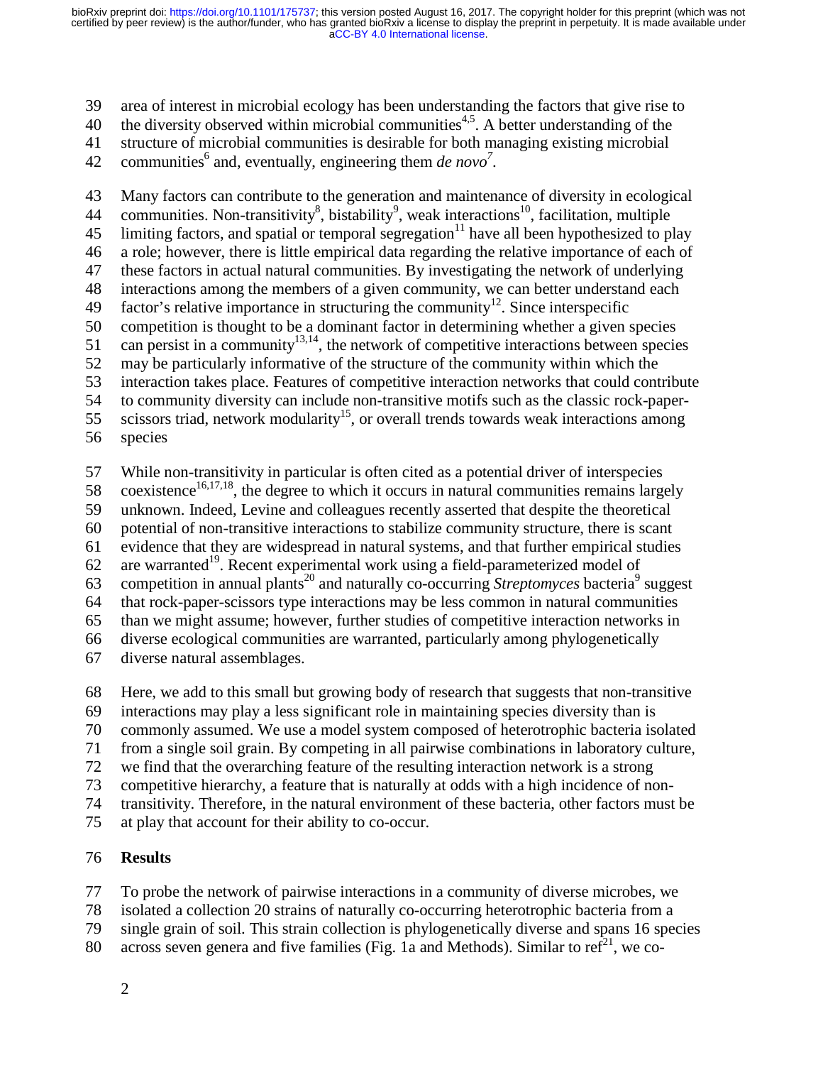39 area of interest in microbial ecology has been understanding the factors that give rise to

40 the diversity observed within microbial communities<sup>4,5</sup>. A better understanding of the

41 structure of microbial communities is desirable for both managing existing microbial

42 communities<sup>6</sup> and, eventually, engineering them *de novo*<sup>7</sup>.

43 Many factors can contribute to the generation and maintenance of diversity in ecological 44 communities. Non-transitivity<sup>8</sup>, bistability<sup>9</sup>, weak interactions<sup>10</sup>, facilitation, multiple 45 limiting factors, and spatial or temporal segregation $11$  have all been hypothesized to play 46 a role; however, there is little empirical data regarding the relative importance of each of 47 these factors in actual natural communities. By investigating the network of underlying 48 interactions among the members of a given community, we can better understand each 49 factor's relative importance in structuring the community<sup>12</sup>. Since interspecific 50 competition is thought to be a dominant factor in determining whether a given species 51 can persist in a community<sup>13,14</sup>, the network of competitive interactions between species 52 may be particularly informative of the structure of the community within which the 53 interaction takes place. Features of competitive interaction networks that could contribute 54 to community diversity can include non-transitive motifs such as the classic rock-paper-55 scissors triad, network modularity<sup>15</sup>, or overall trends towards weak interactions among 56 species

57 While non-transitivity in particular is often cited as a potential driver of interspecies

58 coexistence<sup>16,17,18</sup>, the degree to which it occurs in natural communities remains largely

59 unknown. Indeed, Levine and colleagues recently asserted that despite the theoretical

60 potential of non-transitive interactions to stabilize community structure, there is scant

61 evidence that they are widespread in natural systems, and that further empirical studies

 $62$  are warranted<sup>19</sup>. Recent experimental work using a field-parameterized model of

63 competition in annual plants<sup>20</sup> and naturally co-occurring *Streptomyces* bacteria<sup>9</sup> suggest

64 that rock-paper-scissors type interactions may be less common in natural communities

65 than we might assume; however, further studies of competitive interaction networks in

66 diverse ecological communities are warranted, particularly among phylogenetically

67 diverse natural assemblages.

68 Here, we add to this small but growing body of research that suggests that non-transitive

69 interactions may play a less significant role in maintaining species diversity than is

70 commonly assumed. We use a model system composed of heterotrophic bacteria isolated

71 from a single soil grain. By competing in all pairwise combinations in laboratory culture,

72 we find that the overarching feature of the resulting interaction network is a strong

73 competitive hierarchy, a feature that is naturally at odds with a high incidence of non-

74 transitivity. Therefore, in the natural environment of these bacteria, other factors must be

75 at play that account for their ability to co-occur.

## 76 **Results**

77 To probe the network of pairwise interactions in a community of diverse microbes, we

78 isolated a collection 20 strains of naturally co-occurring heterotrophic bacteria from a

- 79 single grain of soil. This strain collection is phylogenetically diverse and spans 16 species
- 80 across seven genera and five families (Fig. 1a and Methods). Similar to ref<sup>21</sup>, we co-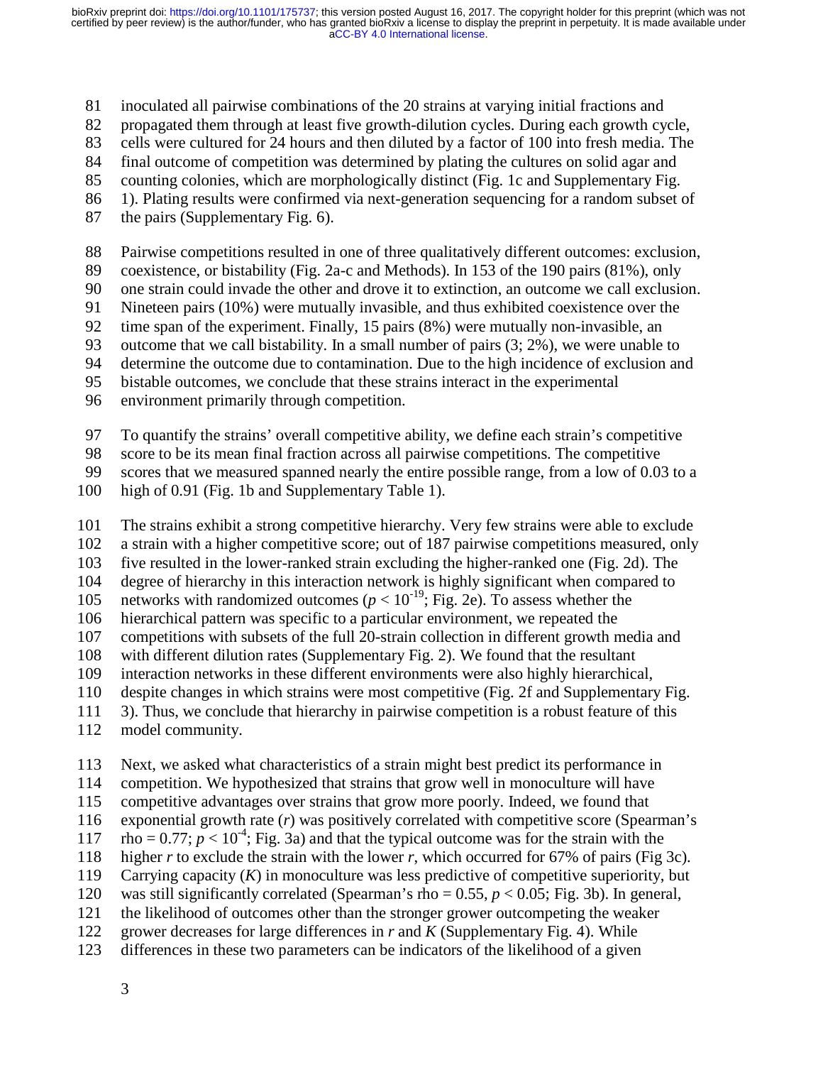81 inoculated all pairwise combinations of the 20 strains at varying initial fractions and

82 propagated them through at least five growth-dilution cycles. During each growth cycle,

- 83 cells were cultured for 24 hours and then diluted by a factor of 100 into fresh media. The
- 84 final outcome of competition was determined by plating the cultures on solid agar and
- 85 counting colonies, which are morphologically distinct (Fig. 1c and Supplementary Fig.
- 86 1). Plating results were confirmed via next-generation sequencing for a random subset of
- 87 the pairs (Supplementary Fig. 6).

88 Pairwise competitions resulted in one of three qualitatively different outcomes: exclusion,

89 coexistence, or bistability (Fig. 2a-c and Methods). In 153 of the 190 pairs (81%), only

90 one strain could invade the other and drove it to extinction, an outcome we call exclusion.

91 Nineteen pairs (10%) were mutually invasible, and thus exhibited coexistence over the

92 time span of the experiment. Finally, 15 pairs (8%) were mutually non-invasible, an

93 outcome that we call bistability. In a small number of pairs (3; 2%), we were unable to

94 determine the outcome due to contamination. Due to the high incidence of exclusion and

95 bistable outcomes, we conclude that these strains interact in the experimental

96 environment primarily through competition.

97 To quantify the strains' overall competitive ability, we define each strain's competitive

98 score to be its mean final fraction across all pairwise competitions. The competitive

99 scores that we measured spanned nearly the entire possible range, from a low of 0.03 to a

- 100 high of 0.91 (Fig. 1b and Supplementary Table 1).
- 101 The strains exhibit a strong competitive hierarchy. Very few strains were able to exclude
- 102 a strain with a higher competitive score; out of 187 pairwise competitions measured, only
- 103 five resulted in the lower-ranked strain excluding the higher-ranked one (Fig. 2d). The
- 104 degree of hierarchy in this interaction network is highly significant when compared to

105 networks with randomized outcomes ( $p < 10^{-19}$ ; Fig. 2e). To assess whether the

106 hierarchical pattern was specific to a particular environment, we repeated the

- 107 competitions with subsets of the full 20-strain collection in different growth media and
- 108 with different dilution rates (Supplementary Fig. 2). We found that the resultant interaction networks in these different environments were also highly hierarchical
- interaction networks in these different environments were also highly hierarchical,
- 110 despite changes in which strains were most competitive (Fig. 2f and Supplementary Fig.
- 111 3). Thus, we conclude that hierarchy in pairwise competition is a robust feature of this
- 112 model community.

113 Next, we asked what characteristics of a strain might best predict its performance in

114 competition. We hypothesized that strains that grow well in monoculture will have

115 competitive advantages over strains that grow more poorly. Indeed, we found that

116 exponential growth rate (*r*) was positively correlated with competitive score (Spearman's

117  $\text{rho} = 0.77$ ;  $p < 10^{-4}$ ; Fig. 3a) and that the typical outcome was for the strain with the

118 higher *r* to exclude the strain with the lower *r*, which occurred for 67% of pairs (Fig 3c).

119 Carrying capacity (*K*) in monoculture was less predictive of competitive superiority, but

120 was still significantly correlated (Spearman's rho = 0.55, *p* < 0.05; Fig. 3b). In general,

- 121 the likelihood of outcomes other than the stronger grower outcompeting the weaker
- 122 grower decreases for large differences in *r* and *K* (Supplementary Fig. 4). While
- 123 differences in these two parameters can be indicators of the likelihood of a given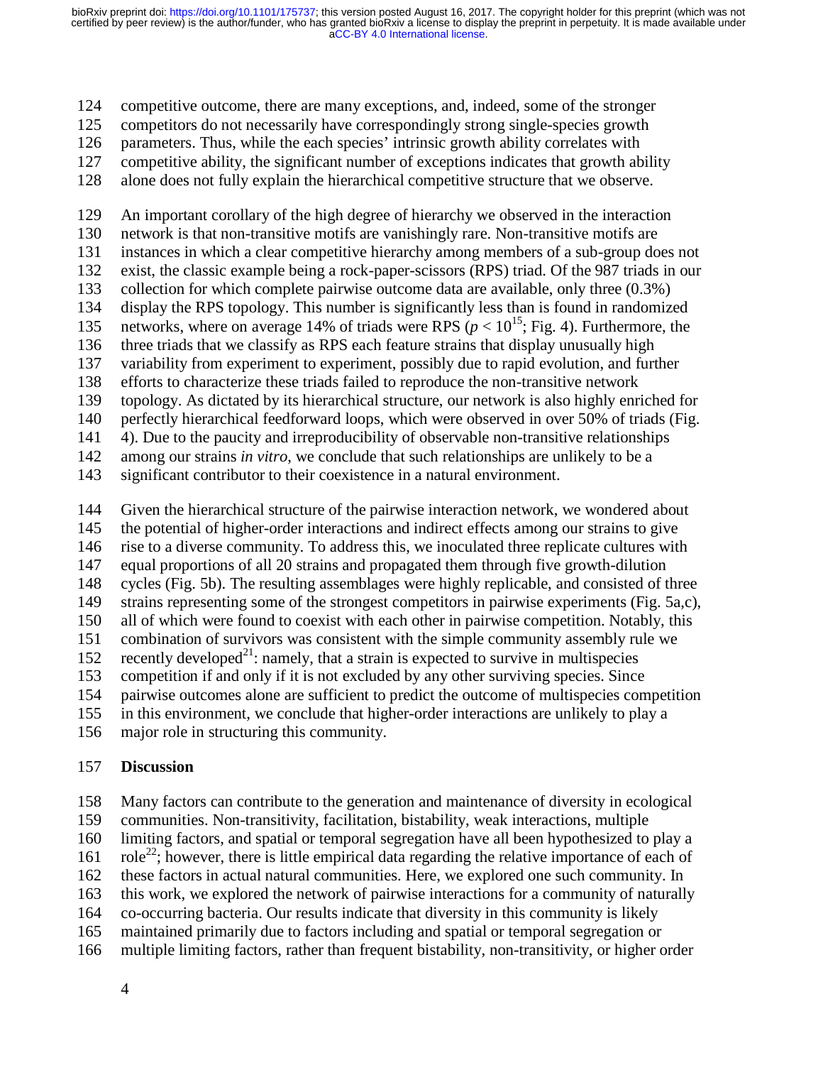124 competitive outcome, there are many exceptions, and, indeed, some of the stronger

125 competitors do not necessarily have correspondingly strong single-species growth

126 parameters. Thus, while the each species' intrinsic growth ability correlates with

127 competitive ability, the significant number of exceptions indicates that growth ability

128 alone does not fully explain the hierarchical competitive structure that we observe.

129 An important corollary of the high degree of hierarchy we observed in the interaction 130 network is that non-transitive motifs are vanishingly rare. Non-transitive motifs are 131 instances in which a clear competitive hierarchy among members of a sub-group does not 132 exist, the classic example being a rock-paper-scissors (RPS) triad. Of the 987 triads in our 133 collection for which complete pairwise outcome data are available, only three (0.3%) 134 display the RPS topology. This number is significantly less than is found in randomized 135 networks, where on average 14% of triads were RPS  $(p < 10^{15})$ ; Fig. 4). Furthermore, the 136 three triads that we classify as RPS each feature strains that display unusually high 137 variability from experiment to experiment, possibly due to rapid evolution, and further

138 efforts to characterize these triads failed to reproduce the non-transitive network

139 topology. As dictated by its hierarchical structure, our network is also highly enriched for

140 perfectly hierarchical feedforward loops, which were observed in over 50% of triads (Fig.

141 4). Due to the paucity and irreproducibility of observable non-transitive relationships

142 among our strains *in vitro*, we conclude that such relationships are unlikely to be a

143 significant contributor to their coexistence in a natural environment.

144 Given the hierarchical structure of the pairwise interaction network, we wondered about

145 the potential of higher-order interactions and indirect effects among our strains to give

146 rise to a diverse community. To address this, we inoculated three replicate cultures with

147 equal proportions of all 20 strains and propagated them through five growth-dilution

148 cycles (Fig. 5b). The resulting assemblages were highly replicable, and consisted of three

149 strains representing some of the strongest competitors in pairwise experiments (Fig. 5a,c),

150 all of which were found to coexist with each other in pairwise competition. Notably, this

151 combination of survivors was consistent with the simple community assembly rule we

152 recently developed<sup>21</sup>: namely, that a strain is expected to survive in multispecies

153 competition if and only if it is not excluded by any other surviving species. Since

154 pairwise outcomes alone are sufficient to predict the outcome of multispecies competition

155 in this environment, we conclude that higher-order interactions are unlikely to play a

156 major role in structuring this community.

## 157 **Discussion**

158 Many factors can contribute to the generation and maintenance of diversity in ecological 159 communities. Non-transitivity, facilitation, bistability, weak interactions, multiple 160 limiting factors, and spatial or temporal segregation have all been hypothesized to play a 161 role<sup>22</sup>; however, there is little empirical data regarding the relative importance of each of 162 these factors in actual natural communities. Here, we explored one such community. In 163 this work, we explored the network of pairwise interactions for a community of naturally 164 co-occurring bacteria. Our results indicate that diversity in this community is likely 165 maintained primarily due to factors including and spatial or temporal segregation or 166 multiple limiting factors, rather than frequent bistability, non-transitivity, or higher order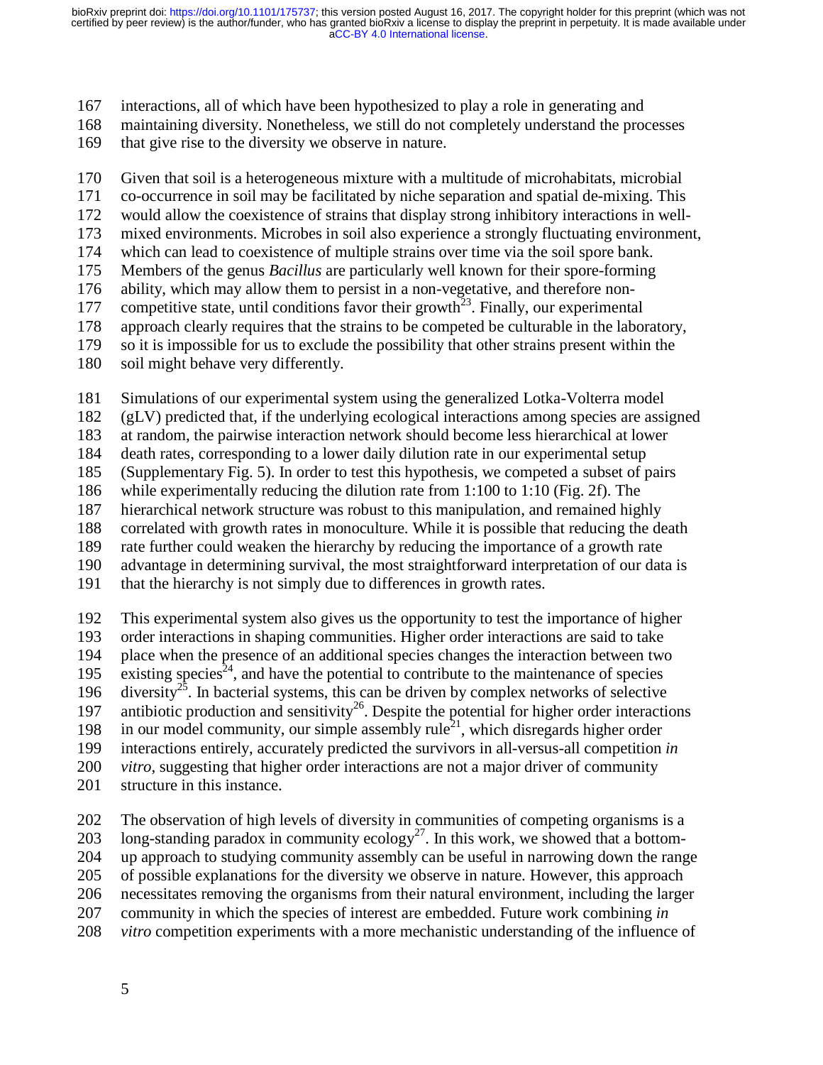167 interactions, all of which have been hypothesized to play a role in generating and

168 maintaining diversity. Nonetheless, we still do not completely understand the processes

169 that give rise to the diversity we observe in nature.

170 Given that soil is a heterogeneous mixture with a multitude of microhabitats, microbial

- 171 co-occurrence in soil may be facilitated by niche separation and spatial de-mixing. This
- 172 would allow the coexistence of strains that display strong inhibitory interactions in well-
- 173 mixed environments. Microbes in soil also experience a strongly fluctuating environment,
- 174 which can lead to coexistence of multiple strains over time via the soil spore bank.
- 175 Members of the genus *Bacillus* are particularly well known for their spore-forming
- 176 ability, which may allow them to persist in a non-vegetative, and therefore non-
- 177 competitive state, until conditions favor their growth<sup>23</sup>. Finally, our experimental
- 178 approach clearly requires that the strains to be competed be culturable in the laboratory,
- 179 so it is impossible for us to exclude the possibility that other strains present within the
- 180 soil might behave very differently.

181 Simulations of our experimental system using the generalized Lotka-Volterra model

182 (gLV) predicted that, if the underlying ecological interactions among species are assigned

183 at random, the pairwise interaction network should become less hierarchical at lower

184 death rates, corresponding to a lower daily dilution rate in our experimental setup

185 (Supplementary Fig. 5). In order to test this hypothesis, we competed a subset of pairs

186 while experimentally reducing the dilution rate from 1:100 to 1:10 (Fig. 2f). The

187 hierarchical network structure was robust to this manipulation, and remained highly

188 correlated with growth rates in monoculture. While it is possible that reducing the death

189 rate further could weaken the hierarchy by reducing the importance of a growth rate

190 advantage in determining survival, the most straightforward interpretation of our data is

191 that the hierarchy is not simply due to differences in growth rates.

192 This experimental system also gives us the opportunity to test the importance of higher 193 order interactions in shaping communities. Higher order interactions are said to take

194 place when the presence of an additional species changes the interaction between two existing species<sup>24</sup>, and have the potential to contribute to the maintenance of species existing species<sup> $24$ </sup>, and have the potential to contribute to the maintenance of species

196 diversity<sup>25</sup>. In bacterial systems, this can be driven by complex networks of selective

197 antibiotic production and sensitivity<sup>26</sup>. Despite the potential for higher order interactions

198 in our model community, our simple assembly rule<sup>21</sup>, which disregards higher order

199 interactions entirely, accurately predicted the survivors in all-versus-all competition *in* 

- 200 *vitro*, suggesting that higher order interactions are not a major driver of community
- 201 structure in this instance.

202 The observation of high levels of diversity in communities of competing organisms is a 203 long-standing paradox in community ecology<sup>27</sup>. In this work, we showed that a bottom-204 up approach to studying community assembly can be useful in narrowing down the range 205 of possible explanations for the diversity we observe in nature. However, this approach 206 necessitates removing the organisms from their natural environment, including the larger 207 community in which the species of interest are embedded. Future work combining *in*  208 *vitro* competition experiments with a more mechanistic understanding of the influence of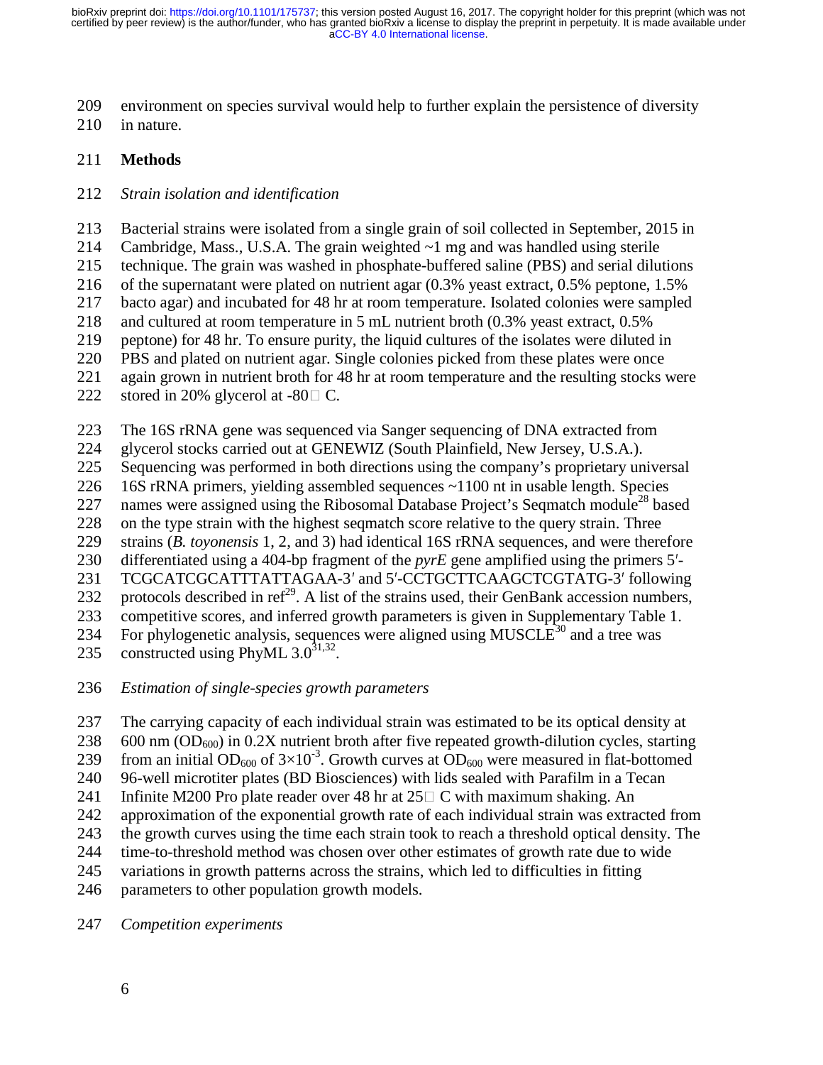- 209 environment on species survival would help to further explain the persistence of diversity
- 210 in nature.

### 211 **Methods**

#### 212 *Strain isolation and identification*

213 Bacterial strains were isolated from a single grain of soil collected in September, 2015 in

214 Cambridge, Mass., U.S.A. The grain weighted  $\sim$ 1 mg and was handled using sterile

215 technique. The grain was washed in phosphate-buffered saline (PBS) and serial dilutions

216 of the supernatant were plated on nutrient agar (0.3% yeast extract, 0.5% peptone, 1.5%

217 bacto agar) and incubated for 48 hr at room temperature. Isolated colonies were sampled

218 and cultured at room temperature in 5 mL nutrient broth (0.3% yeast extract, 0.5%

219 peptone) for 48 hr. To ensure purity, the liquid cultures of the isolates were diluted in

220 PBS and plated on nutrient agar. Single colonies picked from these plates were once

221 again grown in nutrient broth for 48 hr at room temperature and the resulting stocks were

222 stored in 20% glycerol at  $-80 \square$  C.

223 The 16S rRNA gene was sequenced via Sanger sequencing of DNA extracted from

224 glycerol stocks carried out at GENEWIZ (South Plainfield, New Jersey, U.S.A.).

225 Sequencing was performed in both directions using the company's proprietary universal

226 16S rRNA primers, yielding assembled sequences ~1100 nt in usable length. Species

227 names were assigned using the Ribosomal Database Project's Seqmatch module<sup>28</sup> based

228 on the type strain with the highest seqmatch score relative to the query strain. Three

229 strains (*B. toyonensis* 1, 2, and 3) had identical 16S rRNA sequences, and were therefore

230 differentiated using a 404-bp fragment of the *pyrE* gene amplified using the primers 5<sup>'</sup>-<br>231 TCGCATCGCATTTATTAGAA-3' and 5'-CCTGCTTCAAGCTCGTATG-3' following

231 TCGCATCGCATTTATTAGAA-3' and 5'-CCTGCTTCAAGCTCGTATG-3' following<br>232 protocols described in ref<sup>29</sup>. A list of the strains used, their GenBank accession numbers,

233 competitive scores, and inferred growth parameters is given in Supplementary Table 1. 234 For phylogenetic analysis, sequences were aligned using MUSCLE<sup>30</sup> and a tree was

235 constructed using PhyML  $3.0^{31,32}$ .

236 *Estimation of single-species growth parameters*

237 The carrying capacity of each individual strain was estimated to be its optical density at

238 600 nm (OD<sub>600</sub>) in 0.2X nutrient broth after five repeated growth-dilution cycles, starting

239 from an initial OD<sub>600</sub> of  $3\times10^{-3}$ . Growth curves at OD<sub>600</sub> were measured in flat-bottomed

240 96-well microtiter plates (BD Biosciences) with lids sealed with Parafilm in a Tecan

241 Infinite M200 Pro plate reader over 48 hr at  $25\Box$  C with maximum shaking. An approximation of the exponential growth rate of each individual strain was extra approximation of the exponential growth rate of each individual strain was extracted from

243 the growth curves using the time each strain took to reach a threshold optical density. The

244 time-to-threshold method was chosen over other estimates of growth rate due to wide

245 variations in growth patterns across the strains, which led to difficulties in fitting

246 parameters to other population growth models.

247 *Competition experiments*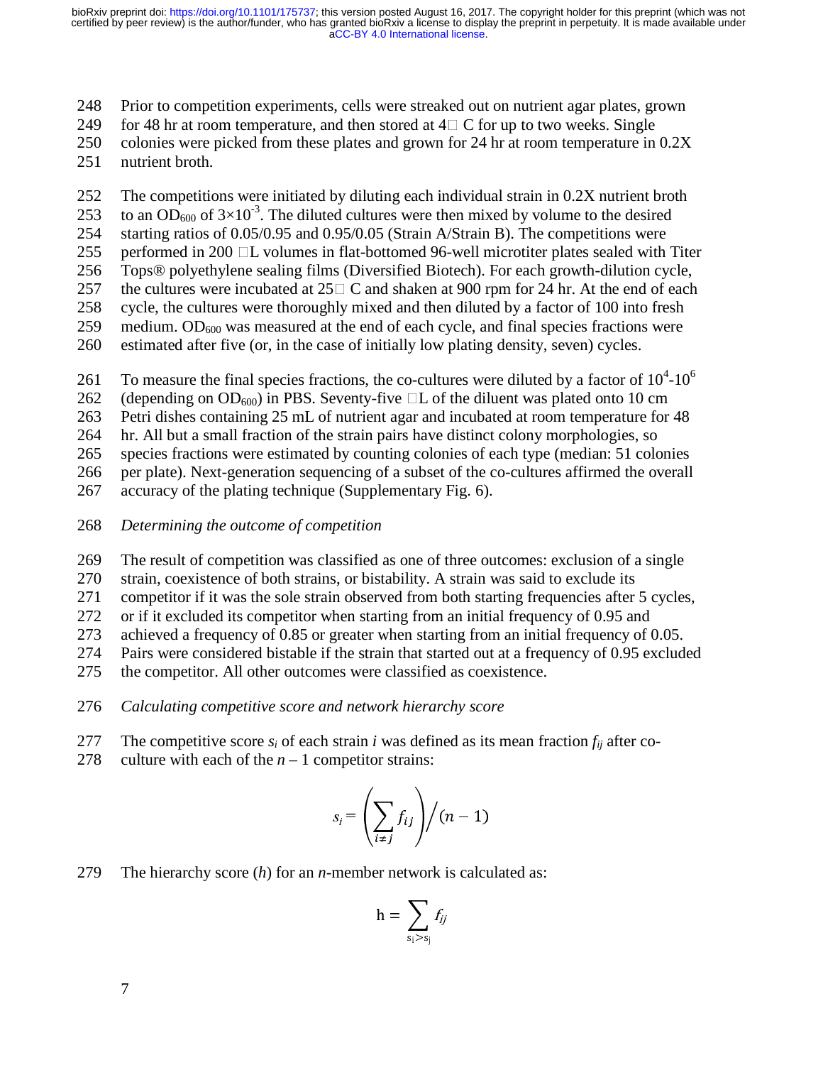248 Prior to competition experiments, cells were streaked out on nutrient agar plates, grown

249 for 48 hr at room temperature, and then stored at  $4\Box$  C for up to two weeks. Single colonies were picked from these plates and grown for 24 hr at room temperature in

colonies were picked from these plates and grown for 24 hr at room temperature in  $0.2X$ 

251 nutrient broth.

252 The competitions were initiated by diluting each individual strain in 0.2X nutrient broth

253 to an OD<sub>600</sub> of  $3\times10^{-3}$ . The diluted cultures were then mixed by volume to the desired

254 starting ratios of 0.05/0.95 and 0.95/0.05 (Strain A/Strain B). The competitions were

255 performed in 200  $\Box$ L volumes in flat-bottomed 96-well microtiter plates sealed with Titer 256 Tops® polyethylene sealing films (Diversified Biotech). For each growth-dilution cycle,

256 Tops® polyethylene sealing films (Diversified Biotech). For each growth-dilution cycle,

257 the cultures were incubated at  $25\Box$  C and shaken at 900 rpm for 24 hr. At the end of each cycle, the cultures were thoroughly mixed and then diluted by a factor of 100 into fresh cycle, the cultures were thoroughly mixed and then diluted by a factor of 100 into fresh

- 259 medium.  $OD_{600}$  was measured at the end of each cycle, and final species fractions were
- 260 estimated after five (or, in the case of initially low plating density, seven) cycles.

261 To measure the final species fractions, the co-cultures were diluted by a factor of  $10^4$ - $10^6$ 

262 (depending on  $OD_{600}$ ) in PBS. Seventy-five  $\Box$ L of the diluent was plated onto 10 cm<br>263 Petri dishes containing 25 mL of nutrient agar and incubated at room temperature for

Petri dishes containing 25 mL of nutrient agar and incubated at room temperature for 48

264 hr. All but a small fraction of the strain pairs have distinct colony morphologies, so

265 species fractions were estimated by counting colonies of each type (median: 51 colonies

266 per plate). Next-generation sequencing of a subset of the co-cultures affirmed the overall

267 accuracy of the plating technique (Supplementary Fig. 6).

268 *Determining the outcome of competition*

269 The result of competition was classified as one of three outcomes: exclusion of a single

270 strain, coexistence of both strains, or bistability. A strain was said to exclude its

271 competitor if it was the sole strain observed from both starting frequencies after 5 cycles,

272 or if it excluded its competitor when starting from an initial frequency of 0.95 and

273 achieved a frequency of 0.85 or greater when starting from an initial frequency of 0.05.

274 Pairs were considered bistable if the strain that started out at a frequency of 0.95 excluded

275 the competitor. All other outcomes were classified as coexistence.

276 *Calculating competitive score and network hierarchy score*

- 277 The competitive score  $s_i$  of each strain *i* was defined as its mean fraction  $f_{ii}$  after co-
- 278 culture with each of the  $n 1$  competitor strains:

$$
s_i = \left(\sum_{i \neq j} f_{ij}\right) / (n-1)
$$

279 The hierarchy score (*h*) for an *n*-member network is calculated as:

$$
h = \sum_{s_i > s_j} f_{ij}
$$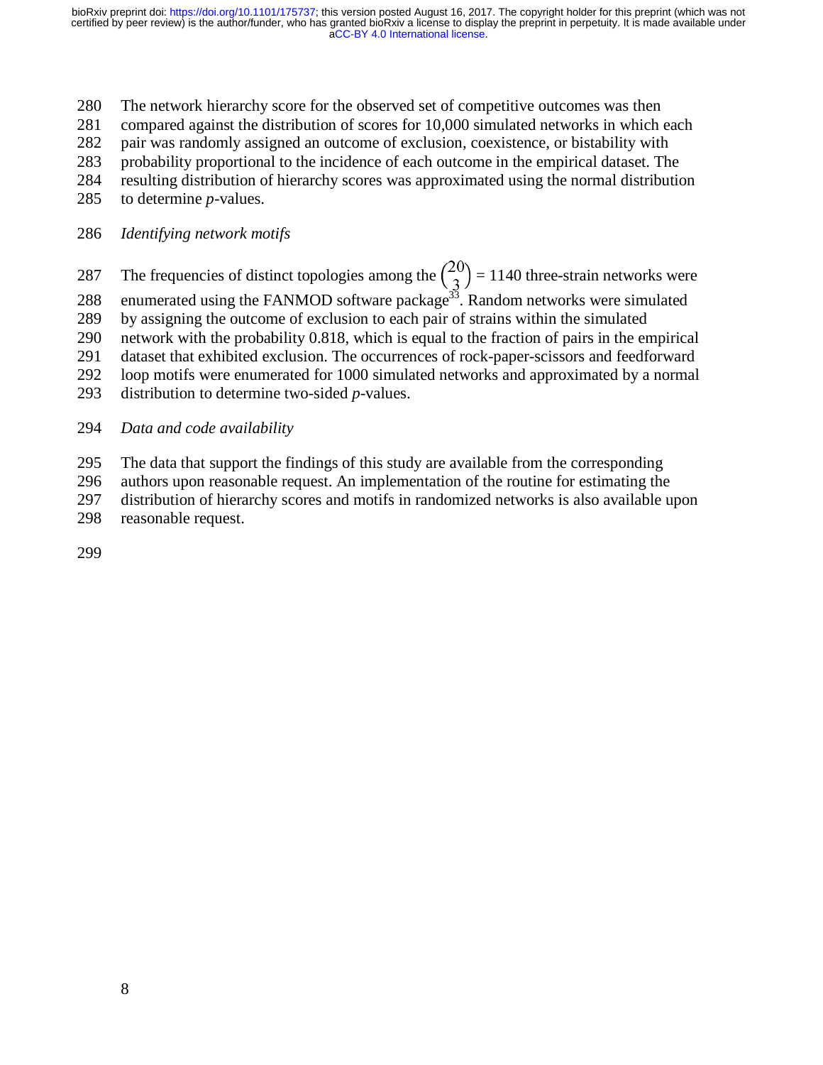- 280 The network hierarchy score for the observed set of competitive outcomes was then
- 281 compared against the distribution of scores for 10,000 simulated networks in which each
- 282 pair was randomly assigned an outcome of exclusion, coexistence, or bistability with
- 283 probability proportional to the incidence of each outcome in the empirical dataset. The
- 284 resulting distribution of hierarchy scores was approximated using the normal distribution
- 285 to determine *p-*values.
- 286 *Identifying network motifs*
- 287 The frequencies of distinct topologies among the  $\binom{20}{3}$  = 1140 three-strain networks were<br>288 enumerated using the FANMOD software package<sup>33</sup>. Random networks were simulated
- 
- 289 by assigning the outcome of exclusion to each pair of strains within the simulated
- 290 network with the probability 0.818, which is equal to the fraction of pairs in the empirical
- 291 dataset that exhibited exclusion. The occurrences of rock-paper-scissors and feedforward
- 292 loop motifs were enumerated for 1000 simulated networks and approximated by a normal
- 293 distribution to determine two-sided *p*-values.
- 294 *Data and code availability*
- 295 The data that support the findings of this study are available from the corresponding
- 296 authors upon reasonable request. An implementation of the routine for estimating the
- 297 distribution of hierarchy scores and motifs in randomized networks is also available upon
- 298 reasonable request.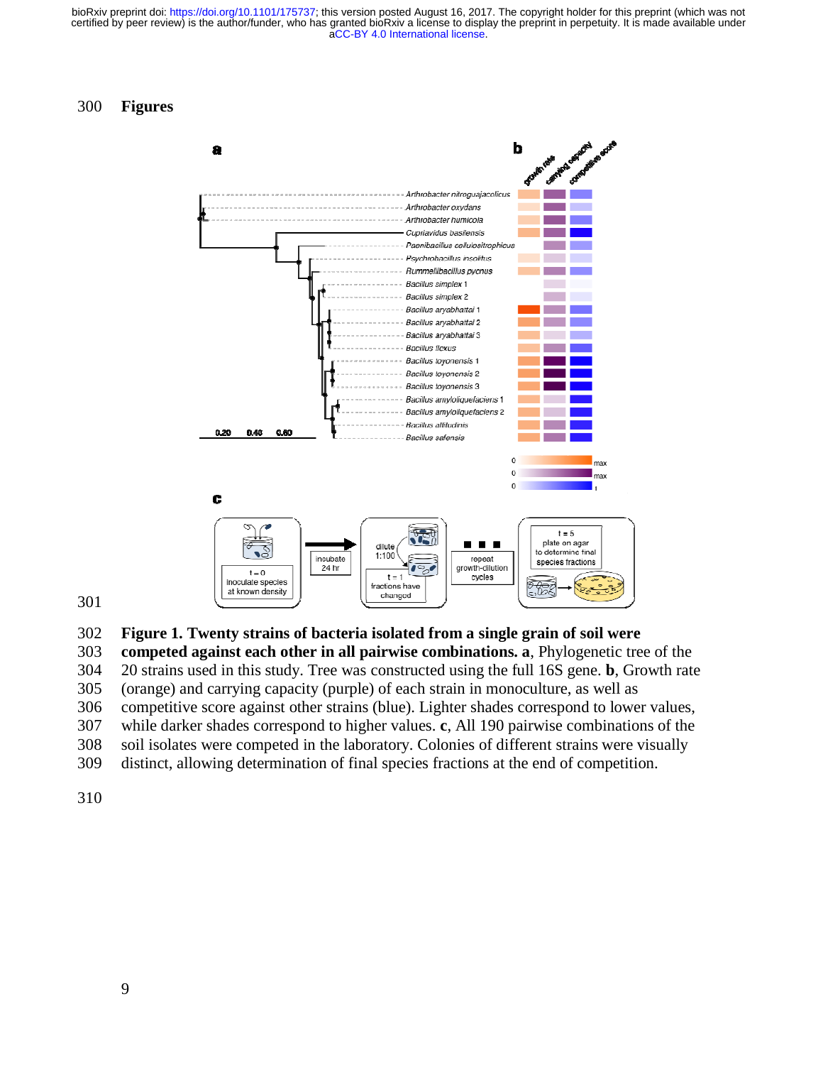#### 300 **Figures**



301

302 **Figure 1. Twenty strains of bacteria isolated from a single grain of soil were** 

303 **competed against each other in all pairwise combinations. a**, Phylogenetic tree of the 304 20 strains used in this study. Tree was constructed using the full 16S gene. **b**, Growth rate

305 (orange) and carrying capacity (purple) of each strain in monoculture, as well as

306 competitive score against other strains (blue). Lighter shades correspond to lower values,

307 while darker shades correspond to higher values. **c**, All 190 pairwise combinations of the

- 308 soil isolates were competed in the laboratory. Colonies of different strains were visually
- 309 distinct, allowing determination of final species fractions at the end of competition.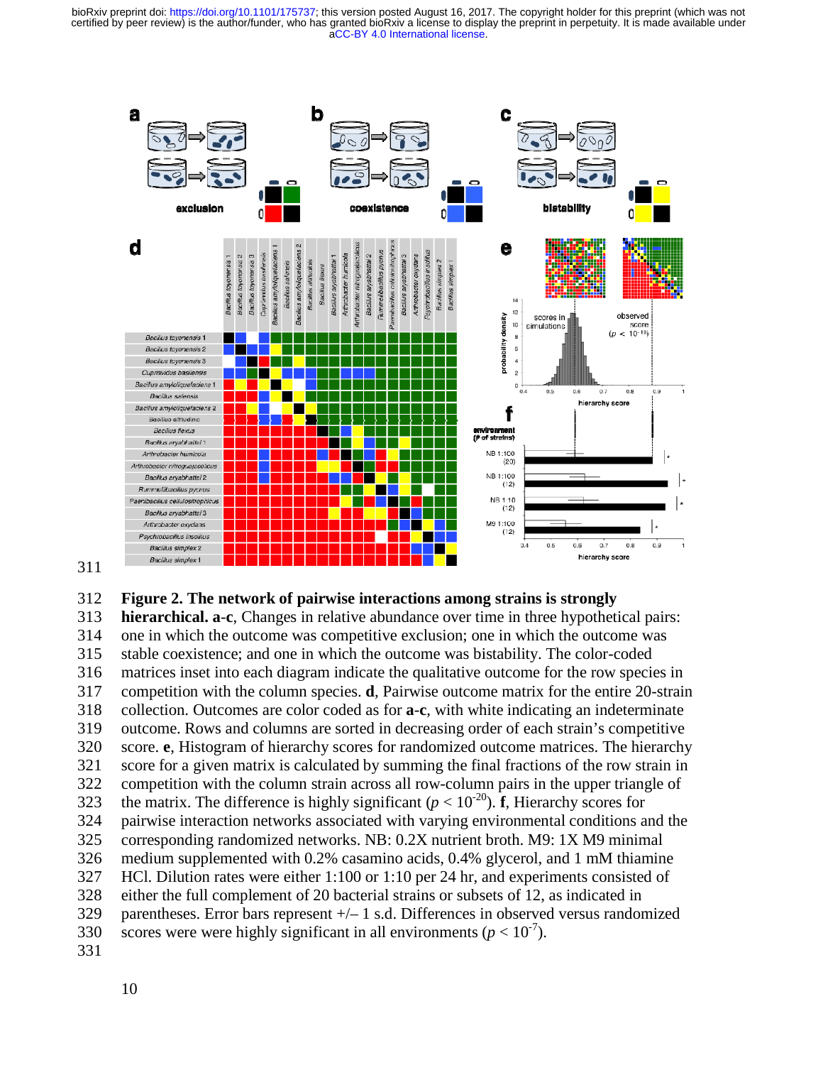

#### 311

#### 312 **Figure 2. The network of pairwise interactions among strains is strongly**

313 **hierarchical. a**-**c**, Changes in relative abundance over time in three hypothetical pairs: 314 one in which the outcome was competitive exclusion; one in which the outcome was 315 stable coexistence; and one in which the outcome was bistability. The color-coded 316 matrices inset into each diagram indicate the qualitative outcome for the row species in 317 competition with the column species. **d**, Pairwise outcome matrix for the entire 20-strain 318 collection. Outcomes are color coded as for **a**-**c**, with white indicating an indeterminate 319 outcome. Rows and columns are sorted in decreasing order of each strain's competitive 320 score. **e**, Histogram of hierarchy scores for randomized outcome matrices. The hierarchy 321 score for a given matrix is calculated by summing the final fractions of the row strain in 322 competition with the column strain across all row-column pairs in the upper triangle of 323 the matrix. The difference is highly significant ( $p < 10^{-20}$ ). **f**, Hierarchy scores for 324 pairwise interaction networks associated with varying environmental conditions and the 325 corresponding randomized networks. NB: 0.2X nutrient broth. M9: 1X M9 minimal 326 medium supplemented with 0.2% casamino acids, 0.4% glycerol, and 1 mM thiamine 327 HCl. Dilution rates were either 1:100 or 1:10 per 24 hr, and experiments consisted of 328 either the full complement of 20 bacterial strains or subsets of 12, as indicated in 329 parentheses. Error bars represent +/– 1 s.d. Differences in observed versus randomized scores were were highly significant in all environments ( $p < 10^{-7}$ ). 331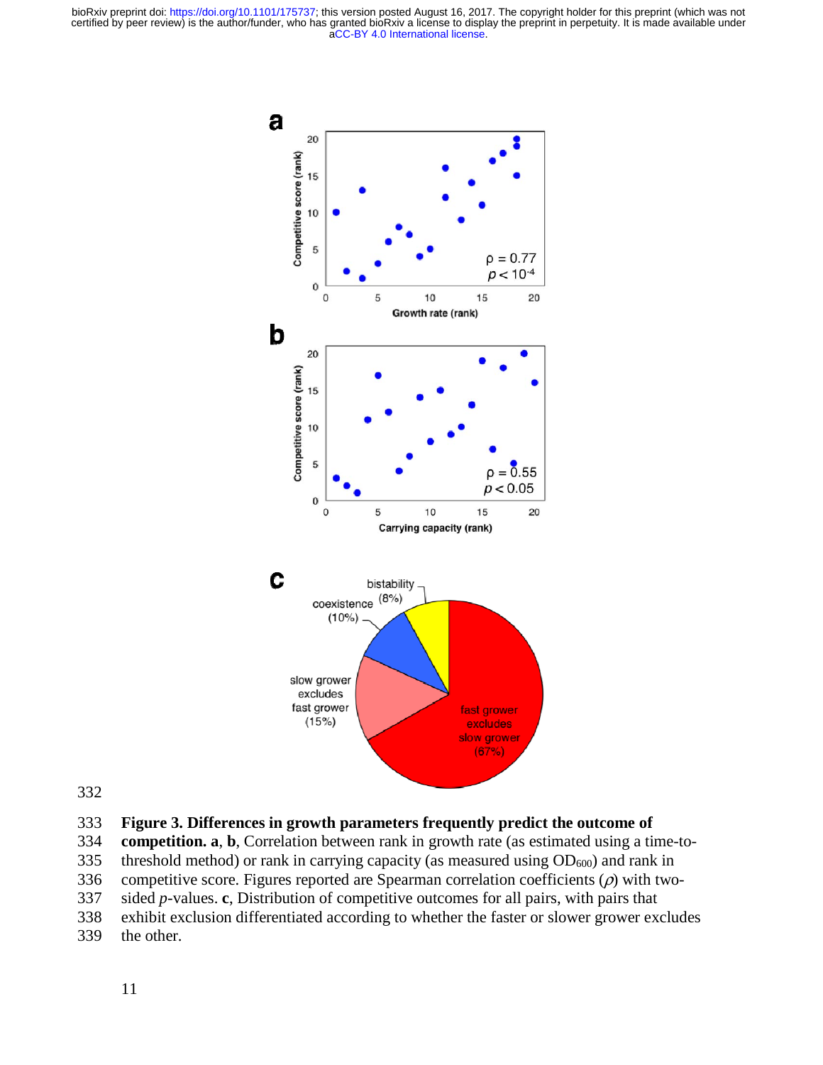

332

### 333 **Figure 3. Differences in growth parameters frequently predict the outcome of**

334 **competition. a**, **b**, Correlation between rank in growth rate (as estimated using a time-to-

335 threshold method) or rank in carrying capacity (as measured using  $OD_{600}$ ) and rank in

336 competitive score. Figures reported are Spearman correlation coefficients  $(\rho)$  with two-

337 sided *p*-values. **c**, Distribution of competitive outcomes for all pairs, with pairs that

- 338 exhibit exclusion differentiated according to whether the faster or slower grower excludes
- 339 the other.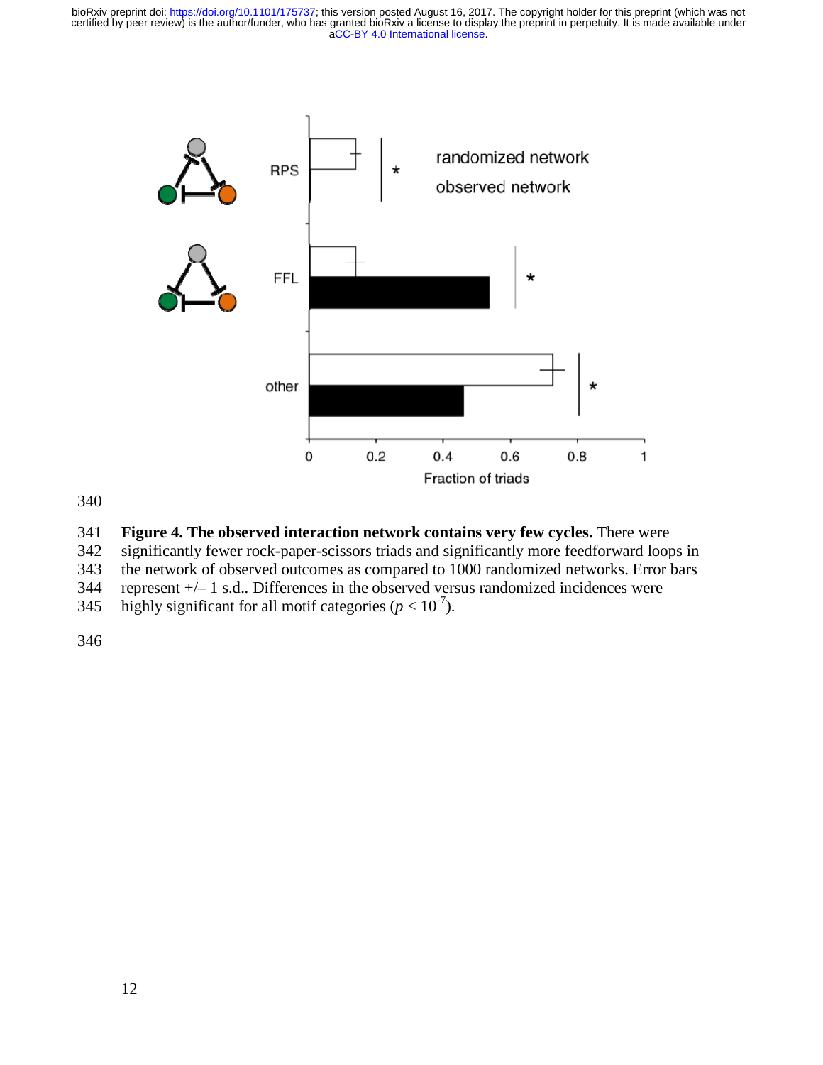

340

### 341 **Figure 4. The observed interaction network contains very few cycles.** There were

342 significantly fewer rock-paper-scissors triads and significantly more feedforward loops in

343 the network of observed outcomes as compared to 1000 randomized networks. Error bars

344 represent +/– 1 s.d.. Differences in the observed versus randomized incidences were

345 highly significant for all motif categories ( $p < 10^{-7}$ ).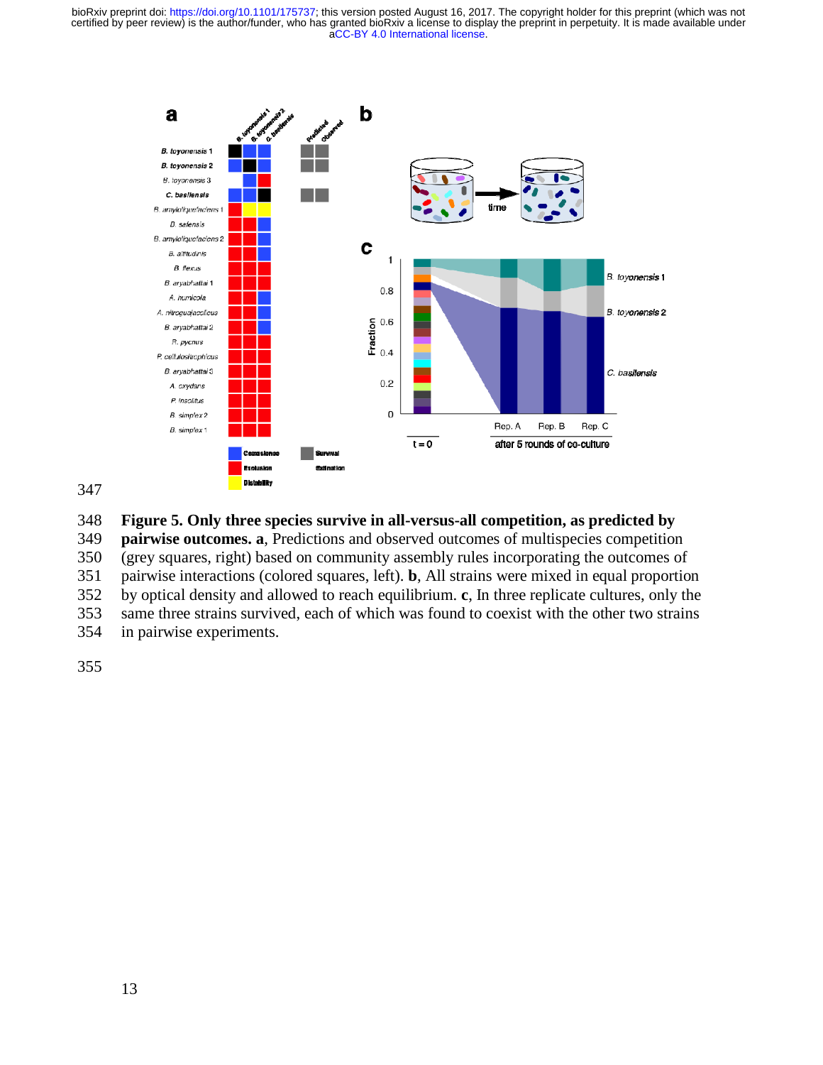



## 348 **Figure 5. Only three species survive in all-versus-all competition, as predicted by**

349 **pairwise outcomes. a**, Predictions and observed outcomes of multispecies competition

350 (grey squares, right) based on community assembly rules incorporating the outcomes of

351 pairwise interactions (colored squares, left). **b**, All strains were mixed in equal proportion

352 by optical density and allowed to reach equilibrium. **c**, In three replicate cultures, only the

353 same three strains survived, each of which was found to coexist with the other two strains

354 in pairwise experiments.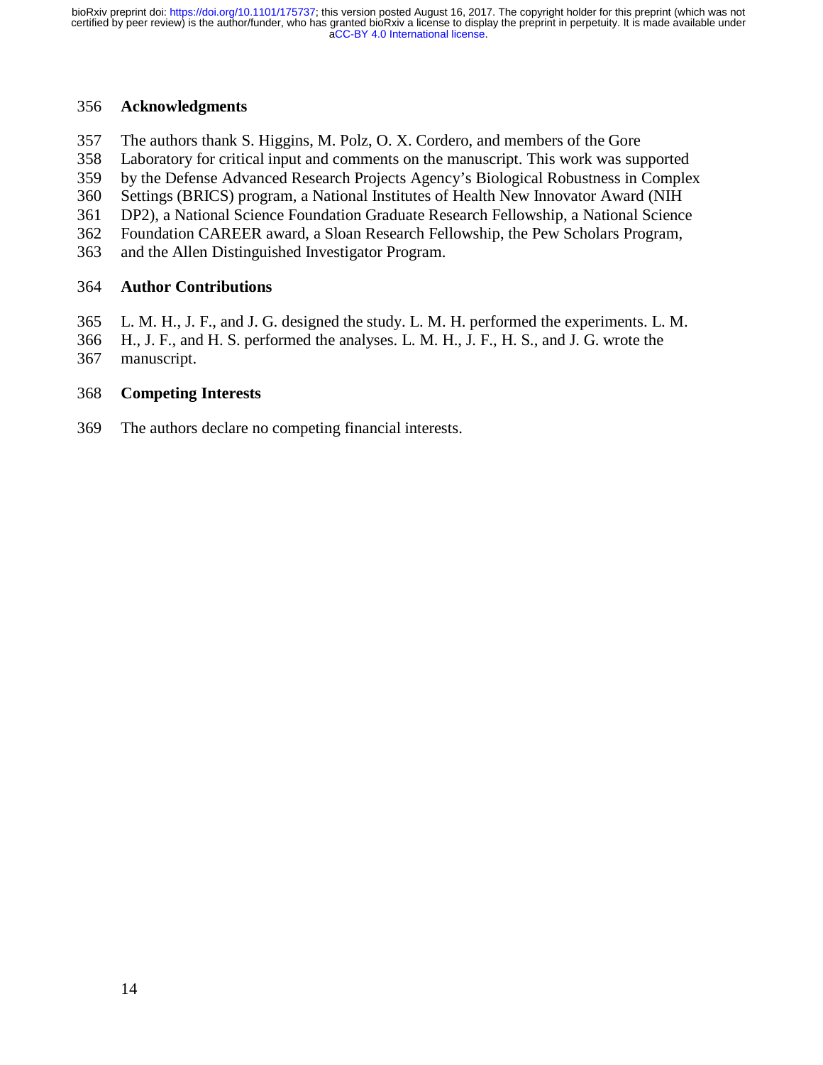### 356 **Acknowledgments**

- 357 The authors thank S. Higgins, M. Polz, O. X. Cordero, and members of the Gore
- 358 Laboratory for critical input and comments on the manuscript. This work was supported
- 359 by the Defense Advanced Research Projects Agency's Biological Robustness in Complex
- 360 Settings (BRICS) program, a National Institutes of Health New Innovator Award (NIH
- 361 DP2), a National Science Foundation Graduate Research Fellowship, a National Science
- 362 Foundation CAREER award, a Sloan Research Fellowship, the Pew Scholars Program,
- 363 and the Allen Distinguished Investigator Program.

## 364 **Author Contributions**

- 365 L. M. H., J. F., and J. G. designed the study. L. M. H. performed the experiments. L. M.
- 366 H., J. F., and H. S. performed the analyses. L. M. H., J. F., H. S., and J. G. wrote the
- 367 manuscript.

## 368 **Competing Interests**

369 The authors declare no competing financial interests.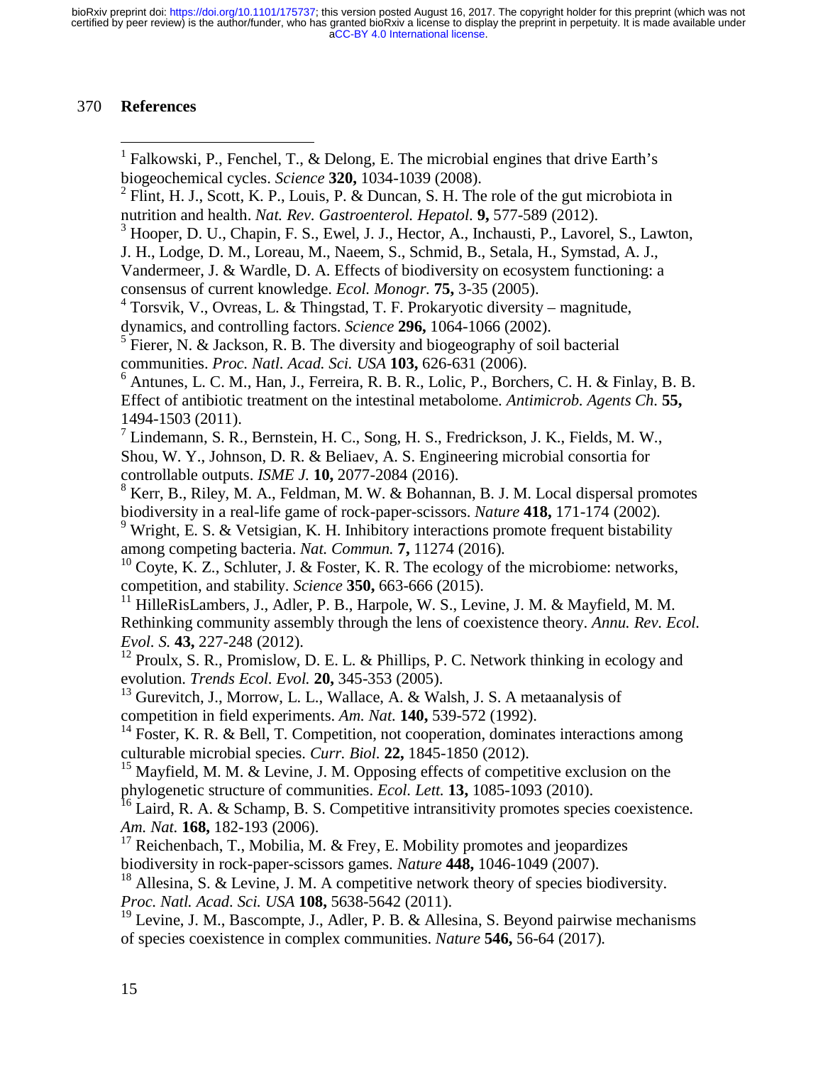# 370 **References**

| <sup>1</sup> Falkowski, P., Fenchel, T., & Delong, E. The microbial engines that drive Earth's<br>biogeochemical cycles. Science 320, 1034-1039 (2008).                        |
|--------------------------------------------------------------------------------------------------------------------------------------------------------------------------------|
| $2$ Flint, H. J., Scott, K. P., Louis, P. & Duncan, S. H. The role of the gut microbiota in<br>nutrition and health. Nat. Rev. Gastroenterol. Hepatol. 9, 577-589 (2012).      |
| <sup>3</sup> Hooper, D. U., Chapin, F. S., Ewel, J. J., Hector, A., Inchausti, P., Lavorel, S., Lawton,                                                                        |
| J. H., Lodge, D. M., Loreau, M., Naeem, S., Schmid, B., Setala, H., Symstad, A. J.,                                                                                            |
| Vandermeer, J. & Wardle, D. A. Effects of biodiversity on ecosystem functioning: a<br>consensus of current knowledge. Ecol. Monogr. 75, 3-35 (2005).                           |
| <sup>4</sup> Torsvik, V., Ovreas, L. & Thingstad, T. F. Prokaryotic diversity – magnitude,                                                                                     |
| dynamics, and controlling factors. Science 296, 1064-1066 (2002).                                                                                                              |
| $5$ Fierer, N. & Jackson, R. B. The diversity and biogeography of soil bacterial                                                                                               |
| communities. Proc. Natl. Acad. Sci. USA 103, 626-631 (2006).<br>$6$ Antunes, L. C. M., Han, J., Ferreira, R. B. R., Lolic, P., Borchers, C. H. & Finlay, B. B.                 |
| Effect of antibiotic treatment on the intestinal metabolome. Antimicrob. Agents Ch. 55,                                                                                        |
| 1494-1503 (2011).<br><sup>7</sup> Lindemann, S. R., Bernstein, H. C., Song, H. S., Fredrickson, J. K., Fields, M. W.,                                                          |
| Shou, W. Y., Johnson, D. R. & Beliaev, A. S. Engineering microbial consortia for                                                                                               |
| controllable outputs. ISME J. 10, 2077-2084 (2016).                                                                                                                            |
| <sup>8</sup> Kerr, B., Riley, M. A., Feldman, M. W. & Bohannan, B. J. M. Local dispersal promotes                                                                              |
| biodiversity in a real-life game of rock-paper-scissors. Nature 418, 171-174 (2002).                                                                                           |
| <sup>9</sup> Wright, E. S. & Vetsigian, K. H. Inhibitory interactions promote frequent bistability<br>among competing bacteria. Nat. Commun. 7, 11274 (2016).                  |
| Coyte, K. Z., Schluter, J. & Foster, K. R. The ecology of the microbiome: networks,                                                                                            |
| competition, and stability. Science 350, 663-666 (2015).                                                                                                                       |
| <sup>11</sup> HilleRisLambers, J., Adler, P. B., Harpole, W. S., Levine, J. M. & Mayfield, M. M.                                                                               |
| Rethinking community assembly through the lens of coexistence theory. Annu. Rev. Ecol.<br>Evol. S. 43, 227-248 (2012).                                                         |
| $^{12}$ Proulx, S. R., Promislow, D. E. L. & Phillips, P. C. Network thinking in ecology and<br>evolution. Trends Ecol. Evol. 20, 345-353 (2005).                              |
| <sup>13</sup> Gurevitch, J., Morrow, L. L., Wallace, A. & Walsh, J. S. A metaanalysis of<br>competition in field experiments. Am. Nat. 140, 539-572 (1992).                    |
| $14$ Foster, K. R. & Bell, T. Competition, not cooperation, dominates interactions among<br>culturable microbial species. Curr. Biol. 22, 1845-1850 (2012).                    |
| <sup>15</sup> Mayfield, M. M. & Levine, J. M. Opposing effects of competitive exclusion on the<br>phylogenetic structure of communities. Ecol. Lett. 13, 1085-1093 (2010).     |
| Laird, R. A. & Schamp, B. S. Competitive intransitivity promotes species coexistence.                                                                                          |
| Am. Nat. 168, 182-193 (2006).                                                                                                                                                  |
| <sup>17</sup> Reichenbach, T., Mobilia, M. & Frey, E. Mobility promotes and jeopardizes                                                                                        |
| biodiversity in rock-paper-scissors games. Nature 448, 1046-1049 (2007).                                                                                                       |
| Allesina, S. & Levine, J. M. A competitive network theory of species biodiversity.<br>Proc. Natl. Acad. Sci. USA 108, 5638-5642 (2011).                                        |
| <sup>19</sup> Levine, J. M., Bascompte, J., Adler, P. B. & Allesina, S. Beyond pairwise mechanisms<br>of species coexistence in complex communities. Nature 546, 56-64 (2017). |
|                                                                                                                                                                                |